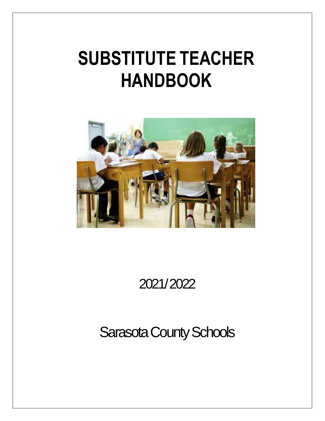# **SUBSTITUTE TEACHER HANDBOOK**



## 2021/2022

## Sarasota County Schools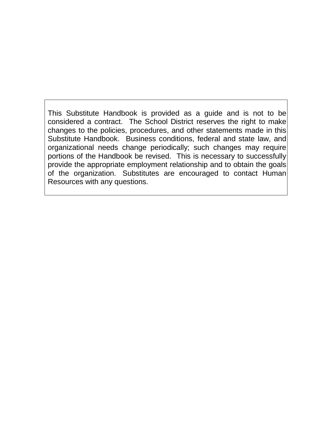This Substitute Handbook is provided as a guide and is not to be considered a contract. The School District reserves the right to make changes to the policies, procedures, and other statements made in this Substitute Handbook. Business conditions, federal and state law, and organizational needs change periodically; such changes may require portions of the Handbook be revised. This is necessary to successfully provide the appropriate employment relationship and to obtain the goals of the organization. Substitutes are encouraged to contact Human Resources with any questions.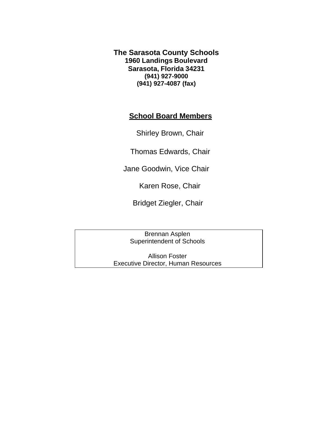**The Sarasota County Schools 1960 Landings Boulevard Sarasota, Florida 34231 (941) 927-9000 (941) 927-4087 (fax)**

## **School Board Members**

Shirley Brown, Chair

Thomas Edwards, Chair

Jane Goodwin, Vice Chair

Karen Rose, Chair

Bridget Ziegler, Chair

Brennan Asplen Superintendent of Schools

Allison Foster Executive Director, Human Resources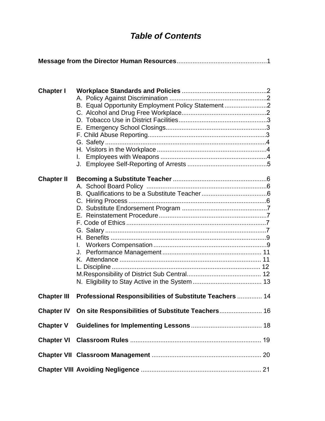## *Table of Contents*

|--|--|--|

| <b>Chapter I</b>   | B. Equal Opportunity Employment Policy Statement2             |  |
|--------------------|---------------------------------------------------------------|--|
| <b>Chapter II</b>  |                                                               |  |
| <b>Chapter III</b> | Professional Responsibilities of Substitute Teachers  14      |  |
|                    | Chapter IV On site Responsibilities of Substitute Teachers 16 |  |
|                    |                                                               |  |
|                    |                                                               |  |
|                    |                                                               |  |
|                    |                                                               |  |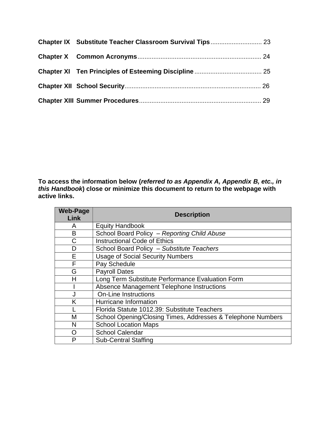**To access the information below (***referred to as Appendix A, Appendix B, etc., in this Handbook***) close or minimize this document to return to the webpage with active links.**

| <b>Web-Page</b><br>Link | <b>Description</b>                                          |
|-------------------------|-------------------------------------------------------------|
| A                       | <b>Equity Handbook</b>                                      |
| B                       | School Board Policy - Reporting Child Abuse                 |
| C                       | <b>Instructional Code of Ethics</b>                         |
| D                       | School Board Policy - Substitute Teachers                   |
| E                       | <b>Usage of Social Security Numbers</b>                     |
| F                       | Pay Schedule                                                |
| G                       | <b>Payroll Dates</b>                                        |
| н                       | Long Term Substitute Performance Evaluation Form            |
|                         | Absence Management Telephone Instructions                   |
| J                       | On-Line Instructions                                        |
| K                       | Hurricane Information                                       |
|                         | Florida Statute 1012.39: Substitute Teachers                |
| M                       | School Opening/Closing Times, Addresses & Telephone Numbers |
| N                       | <b>School Location Maps</b>                                 |
| $\circ$                 | <b>School Calendar</b>                                      |
| P                       | <b>Sub-Central Staffing</b>                                 |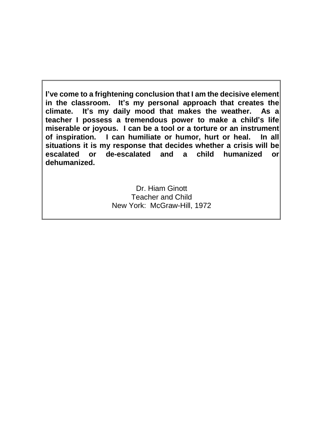**I've come to a frightening conclusion that I am the decisive element in the classroom. It's my personal approach that creates the climate. It's my daily mood that makes the weather. As a teacher I possess a tremendous power to make a child's life miserable or joyous. I can be a tool or a torture or an instrument of inspiration. I can humiliate or humor, hurt or heal. In all situations it is my response that decides whether a crisis will be escalated or de-escalated and a child humanized or dehumanized.**

> Dr. Hiam Ginott Teacher and Child New York: McGraw-Hill, 1972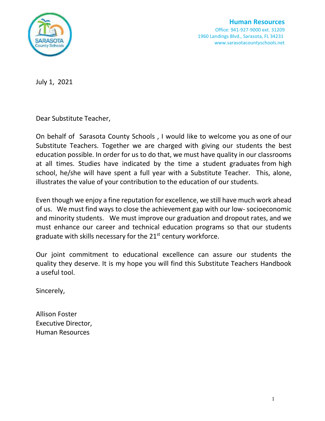

July 1, 2021

Dear Substitute Teacher,

On behalf of Sarasota County Schools , I would like to welcome you as one of our Substitute Teachers. Together we are charged with giving our students the best education possible. In order for us to do that, we must have quality in our classrooms at all times. Studies have indicated by the time a student graduates from high school, he/she will have spent a full year with a Substitute Teacher. This, alone, illustrates the value of your contribution to the education of our students.

Even though we enjoy a fine reputation for excellence, we still have much work ahead of us. We must find ways to close the achievement gap with our low- socioeconomic and minority students. We must improve our graduation and dropout rates, and we must enhance our career and technical education programs so that our students graduate with skills necessary for the 21<sup>st</sup> century workforce.

Our joint commitment to educational excellence can assure our students the quality they deserve. It is my hope you will find this Substitute Teachers Handbook a useful tool.

Sincerely,

Allison Foster Executive Director, Human Resources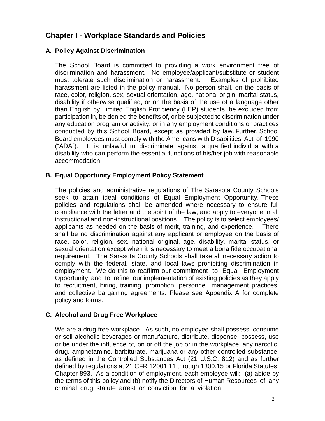## **Chapter I - Workplace Standards and Policies**

## **A. Policy Against Discrimination**

The School Board is committed to providing a work environment free of discrimination and harassment. No employee/applicant/substitute or student must tolerate such discrimination or harassment. Examples of prohibited harassment are listed in the policy manual. No person shall, on the basis of race, color, religion, sex, sexual orientation, age, national origin, marital status, disability if otherwise qualified, or on the basis of the use of a language other than English by Limited English Proficiency (LEP) students, be excluded from participation in, be denied the benefits of, or be subjected to discrimination under any education program or activity, or in any employment conditions or practices conducted by this School Board, except as provided by law. Further, School Board employees must comply with the Americans with Disabilities Act of 1990 ("ADA"). It is unlawful to discriminate against a qualified individual with a disability who can perform the essential functions of his/her job with reasonable accommodation.

## **B. Equal Opportunity Employment Policy Statement**

The policies and administrative regulations of The Sarasota County Schools seek to attain ideal conditions of Equal Employment Opportunity. These policies and regulations shall be amended where necessary to ensure full compliance with the letter and the spirit of the law, and apply to everyone in all instructional and non-instructional positions. The policy is to select employees/ applicants as needed on the basis of merit, training, and experience. There shall be no discrimination against any applicant or employee on the basis of race, color, religion, sex, national original, age, disability, marital status, or sexual orientation except when it is necessary to meet a bona fide occupational requirement. The Sarasota County Schools shall take all necessary action to comply with the federal, state, and local laws prohibiting discrimination in employment. We do this to reaffirm our commitment to Equal Employment Opportunity and to refine our implementation of existing policies as they apply to recruitment, hiring, training, promotion, personnel, management practices, and collective bargaining agreements. Please see Appendix A for complete policy and forms.

## **C. Alcohol and Drug Free Workplace**

We are a drug free workplace. As such, no employee shall possess, consume or sell alcoholic beverages or manufacture, distribute, dispense, possess, use or be under the influence of, on or off the job or in the workplace, any narcotic, drug, amphetamine, barbiturate, marijuana or any other controlled substance, as defined in the Controlled Substances Act (21 U.S.C. 812) and as further defined by regulations at 21 CFR 12001.11 through 1300.15 or Florida Statutes, Chapter 893. As a condition of employment, each employee will: (a) abide by the terms of this policy and (b) notify the Directors of Human Resources of any criminal drug statute arrest or conviction for a violation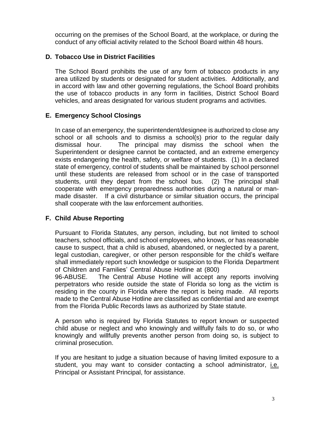occurring on the premises of the School Board, at the workplace, or during the conduct of any official activity related to the School Board within 48 hours.

## **D. Tobacco Use in District Facilities**

The School Board prohibits the use of any form of tobacco products in any area utilized by students or designated for student activities. Additionally, and in accord with law and other governing regulations, the School Board prohibits the use of tobacco products in any form in facilities, District School Board vehicles, and areas designated for various student programs and activities.

## **E. Emergency School Closings**

In case of an emergency, the superintendent/designee is authorized to close any school or all schools and to dismiss a school(s) prior to the regular daily dismissal hour. The principal may dismiss the school when the Superintendent or designee cannot be contacted, and an extreme emergency exists endangering the health, safety, or welfare of students. (1) In a declared state of emergency, control of students shall be maintained by school personnel until these students are released from school or in the case of transported students, until they depart from the school bus. (2) The principal shall cooperate with emergency preparedness authorities during a natural or manmade disaster. If a civil disturbance or similar situation occurs, the principal shall cooperate with the law enforcement authorities.

## **F. Child Abuse Reporting**

Pursuant to Florida Statutes, any person, including, but not limited to school teachers, school officials, and school employees, who knows, or has reasonable cause to suspect, that a child is abused, abandoned, or neglected by a parent, legal custodian, caregiver, or other person responsible for the child's welfare shall immediately report such knowledge or suspicion to the Florida Department of Children and Families' Central Abuse Hotline at (800)

96-ABUSE. The Central Abuse Hotline will accept any reports involving perpetrators who reside outside the state of Florida so long as the victim is residing in the county in Florida where the report is being made. All reports made to the Central Abuse Hotline are classified as confidential and are exempt from the Florida Public Records laws as authorized by State statute.

A person who is required by Florida Statutes to report known or suspected child abuse or neglect and who knowingly and willfully fails to do so, or who knowingly and willfully prevents another person from doing so, is subject to criminal prosecution.

If you are hesitant to judge a situation because of having limited exposure to a student, you may want to consider contacting a school administrator, *i.e.* Principal or Assistant Principal, for assistance.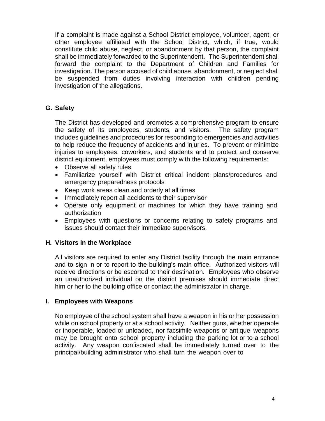If a complaint is made against a School District employee, volunteer, agent, or other employee affiliated with the School District, which, if true, would constitute child abuse, neglect, or abandonment by that person, the complaint shall be immediately forwarded to the Superintendent. The Superintendent shall forward the complaint to the Department of Children and Families for investigation. The person accused of child abuse, abandonment, or neglect shall be suspended from duties involving interaction with children pending investigation of the allegations.

## **G. Safety**

The District has developed and promotes a comprehensive program to ensure the safety of its employees, students, and visitors. The safety program includes guidelines and procedures for responding to emergencies and activities to help reduce the frequency of accidents and injuries. To prevent or minimize injuries to employees, coworkers, and students and to protect and conserve district equipment, employees must comply with the following requirements:

- Observe all safety rules
- Familiarize yourself with District critical incident plans/procedures and emergency preparedness protocols
- Keep work areas clean and orderly at all times
- Immediately report all accidents to their supervisor
- Operate only equipment or machines for which they have training and authorization
- Employees with questions or concerns relating to safety programs and issues should contact their immediate supervisors.

## **H. Visitors in the Workplace**

All visitors are required to enter any District facility through the main entrance and to sign in or to report to the building's main office. Authorized visitors will receive directions or be escorted to their destination. Employees who observe an unauthorized individual on the district premises should immediate direct him or her to the building office or contact the administrator in charge.

## **I. Employees with Weapons**

No employee of the school system shall have a weapon in his or her possession while on school property or at a school activity. Neither guns, whether operable or inoperable, loaded or unloaded, nor facsimile weapons or antique weapons may be brought onto school property including the parking lot or to a school activity. Any weapon confiscated shall be immediately turned over to the principal/building administrator who shall turn the weapon over to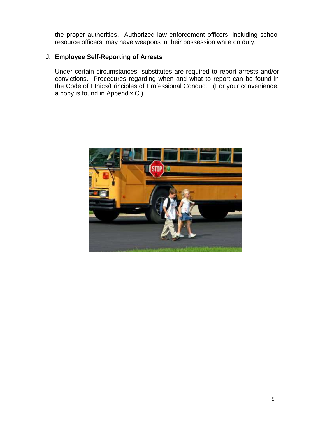the proper authorities. Authorized law enforcement officers, including school resource officers, may have weapons in their possession while on duty.

## **J. Employee Self-Reporting of Arrests**

Under certain circumstances, substitutes are required to report arrests and/or convictions. Procedures regarding when and what to report can be found in the Code of Ethics/Principles of Professional Conduct. (For your convenience, a copy is found in Appendix C.)

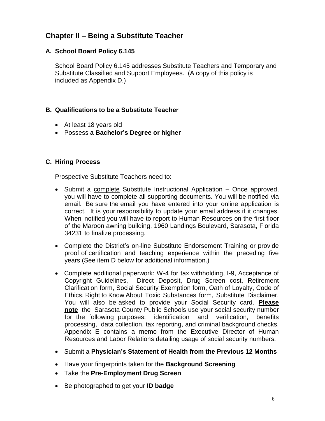## **Chapter II – Being a Substitute Teacher**

## **A. School Board Policy 6.145**

School Board Policy 6.145 addresses Substitute Teachers and Temporary and Substitute Classified and Support Employees. (A copy of this policy is included as Appendix D.)

## **B. Qualifications to be a Substitute Teacher**

- At least 18 years old
- Possess **a Bachelor's Degree or higher**

## **C. Hiring Process**

Prospective Substitute Teachers need to:

- Submit a complete Substitute Instructional Application Once approved, you will have to complete all supporting documents. You will be notified via email. Be sure the email you have entered into your online application is correct. It is your responsibility to update your email address if it changes. When notified you will have to report to Human Resources on the first floor of the Maroon awning building, 1960 Landings Boulevard, Sarasota, Florida 34231 to finalize processing.
- Complete the District's on-line Substitute Endorsement Training or provide proof of certification and teaching experience within the preceding five years (See item D below for additional information.)
- Complete additional paperwork: W-4 for tax withholding, I-9, Acceptance of Copyright Guidelines, Direct Deposit, Drug Screen cost, Retirement Clarification form, Social Security Exemption form, Oath of Loyalty, Code of Ethics, Right to Know About Toxic Substances form, Substitute Disclaimer. You will also be asked to provide your Social Security card. **Please note** the Sarasota County Public Schools use your social security number for the following purposes: identification and verification, benefits processing, data collection, tax reporting, and criminal background checks. Appendix E contains a memo from the Executive Director of Human Resources and Labor Relations detailing usage of social security numbers.
- Submit a **Physician's Statement of Health from the Previous 12 Months**
- Have your fingerprints taken for the **Background Screening**
- Take the **Pre-Employment Drug Screen**
- Be photographed to get your **ID badge**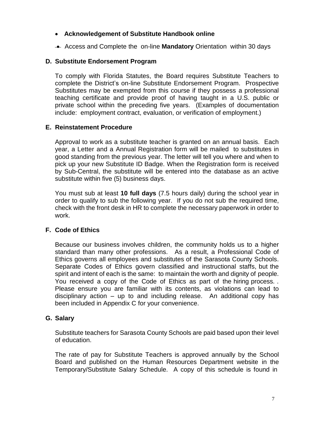- **Acknowledgement of Substitute Handbook online**
- Access and Complete the on-line **Mandatory** Orientation within 30 days

## **D. Substitute Endorsement Program**

To comply with Florida Statutes, the Board requires Substitute Teachers to complete the District's on-line Substitute Endorsement Program. Prospective Substitutes may be exempted from this course if they possess a professional teaching certificate and provide proof of having taught in a U.S. public or private school within the preceding five years. (Examples of documentation include: employment contract, evaluation, or verification of employment.)

## **E. Reinstatement Procedure**

Approval to work as a substitute teacher is granted on an annual basis. Each year, a Letter and a Annual Registration form will be mailed to substitutes in good standing from the previous year. The letter will tell you where and when to pick up your new Substitute ID Badge. When the Registration form is received by Sub-Central, the substitute will be entered into the database as an active substitute within five (5) business days.

You must sub at least **10 full days** (7.5 hours daily) during the school year in order to qualify to sub the following year. If you do not sub the required time, check with the front desk in HR to complete the necessary paperwork in order to work.

## **F. Code of Ethics**

Because our business involves children, the community holds us to a higher standard than many other professions. As a result, a Professional Code of Ethics governs all employees and substitutes of the Sarasota County Schools. Separate Codes of Ethics govern classified and instructional staffs, but the spirit and intent of each is the same: to maintain the worth and dignity of people. You received a copy of the Code of Ethics as part of the hiring process. . Please ensure you are familiar with its contents, as violations can lead to disciplinary action – up to and including release. An additional copy has been included in Appendix C for your convenience.

## **G. Salary**

Substitute teachers for Sarasota County Schools are paid based upon their level of education.

The rate of pay for Substitute Teachers is approved annually by the School Board and published on the Human Resources Department website in the Temporary/Substitute Salary Schedule. A copy of this schedule is found in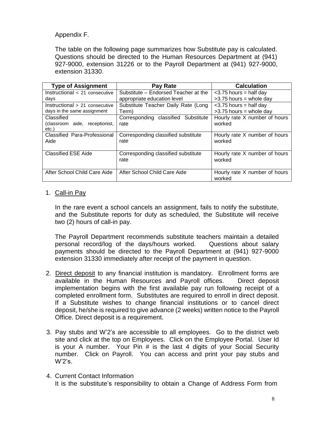## Appendix F.

The table on the following page summarizes how Substitute pay is calculated. Questions should be directed to the Human Resources Department at (941) 927-9000, extension 31226 or to the Payroll Department at (941) 927-9000, extension 31330.

| <b>Type of Assignment</b>      | <b>Pay Rate</b>                      | <b>Calculation</b>            |
|--------------------------------|--------------------------------------|-------------------------------|
| Instructional < 21 consecutive | Substitute - Endorsed Teacher at the | $<$ 3.75 hours = half day     |
| days                           | appropriate education level          | $>3.75$ hours = whole day     |
| Instructional > 21 consecutive | Substitute Teacher Daily Rate (Long  | $<$ 3.75 hours = half day     |
| days in the same assignment    | Term)                                | $>3.75$ hours = whole day     |
| Classified                     | Corresponding classified Substitute  | Hourly rate X number of hours |
| (classroom aide, receptionist, | rate                                 | worked                        |
| $etc.$ )                       |                                      |                               |
| Classified Para-Professional   | Corresponding classified substitute  | Hourly rate X number of hours |
| Aide                           | rate                                 | worked                        |
|                                |                                      |                               |
| <b>Classified ESE Aide</b>     | Corresponding classified substitute  | Hourly rate X number of hours |
|                                | rate                                 | worked                        |
|                                |                                      |                               |
| After School Child Care Aide   | After School Child Care Aide         | Hourly rate X number of hours |
|                                |                                      | worked                        |

#### 1. Call-in Pay

In the rare event a school cancels an assignment, fails to notify the substitute, and the Substitute reports for duty as scheduled, the Substitute will receive two (2) hours of call-in pay.

The Payroll Department recommends substitute teachers maintain a detailed personal record/log of the days/hours worked. Questions about salary payments should be directed to the Payroll Department at (941) 927-9000 extension 31330 immediately after receipt of the payment in question.

- 2. Direct deposit to any financial institution is mandatory. Enrollment forms are available in the Human Resources and Payroll offices. Direct deposit implementation begins with the first available pay run following receipt of a completed enrollment form. Substitutes are required to enroll in direct deposit. If a Substitute wishes to change financial institutions or to cancel direct deposit, he/she is required to give advance (2 weeks) written notice to the Payroll Office. Direct deposit is a requirement.
- 3. Pay stubs and W'2's are accessible to all employees. Go to the district web site and click at the top on Employees. Click on the Employee Portal. User Id is your A number. Your Pin # is the last 4 digits of your Social Security number. Click on Payroll. You can access and print your pay stubs and W'2's.
- 4. Current Contact Information It is the substitute's responsibility to obtain a Change of Address Form from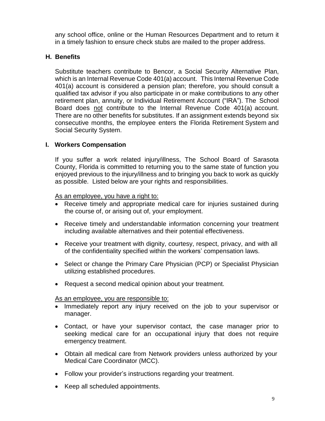any school office, online or the Human Resources Department and to return it in a timely fashion to ensure check stubs are mailed to the proper address.

## **H. Benefits**

Substitute teachers contribute to Bencor, a Social Security Alternative Plan, which is an Internal Revenue Code 401(a) account. This Internal Revenue Code 401(a) account is considered a pension plan; therefore, you should consult a qualified tax advisor if you also participate in or make contributions to any other retirement plan, annuity, or Individual Retirement Account ("IRA"). The School Board does not contribute to the Internal Revenue Code 401(a) account. There are no other benefits for substitutes. If an assignment extends beyond six consecutive months, the employee enters the Florida Retirement System and Social Security System.

## **I. Workers Compensation**

If you suffer a work related injury/illness, The School Board of Sarasota County, Florida is committed to returning you to the same state of function you enjoyed previous to the injury/illness and to bringing you back to work as quickly as possible. Listed below are your rights and responsibilities.

As an employee, you have a right to:

- Receive timely and appropriate medical care for injuries sustained during the course of, or arising out of, your employment.
- Receive timely and understandable information concerning your treatment including available alternatives and their potential effectiveness.
- Receive your treatment with dignity, courtesy, respect, privacy, and with all of the confidentiality specified within the workers' compensation laws.
- Select or change the Primary Care Physician (PCP) or Specialist Physician utilizing established procedures.
- Request a second medical opinion about your treatment.

## As an employee, you are responsible to:

- Immediately report any injury received on the job to your supervisor or manager.
- Contact, or have your supervisor contact, the case manager prior to seeking medical care for an occupational injury that does not require emergency treatment.
- Obtain all medical care from Network providers unless authorized by your Medical Care Coordinator (MCC).
- Follow your provider's instructions regarding your treatment.
- Keep all scheduled appointments.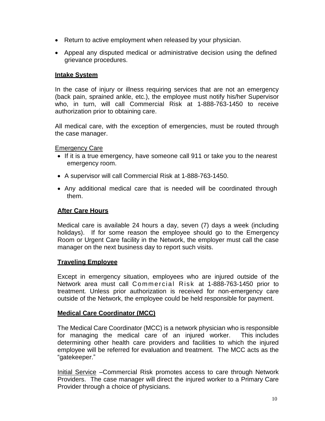- Return to active employment when released by your physician.
- Appeal any disputed medical or administrative decision using the defined grievance procedures.

## **Intake System**

In the case of injury or illness requiring services that are not an emergency (back pain, sprained ankle, etc.), the employee must notify his/her Supervisor who, in turn, will call Commercial Risk at 1-888-763-1450 to receive authorization prior to obtaining care.

All medical care, with the exception of emergencies, must be routed through the case manager.

Emergency Care

- If it is a true emergency, have someone call 911 or take you to the nearest emergency room.
- A supervisor will call Commercial Risk at 1-888-763-1450.
- Any additional medical care that is needed will be coordinated through them.

## **After Care Hours**

Medical care is available 24 hours a day, seven (7) days a week (including holidays). If for some reason the employee should go to the Emergency Room or Urgent Care facility in the Network, the employer must call the case manager on the next business day to report such visits.

## **Traveling Employee**

Except in emergency situation, employees who are injured outside of the Network area must call Commercial Risk at 1-888-763-1450 prior to treatment. Unless prior authorization is received for non-emergency care outside of the Network, the employee could be held responsible for payment.

## **Medical Care Coordinator (MCC)**

The Medical Care Coordinator (MCC) is a network physician who is responsible for managing the medical care of an injured worker. This includes determining other health care providers and facilities to which the injured employee will be referred for evaluation and treatment. The MCC acts as the "gatekeeper."

Initial Service – Commercial Risk promotes access to care through Network Providers. The case manager will direct the injured worker to a Primary Care Provider through a choice of physicians.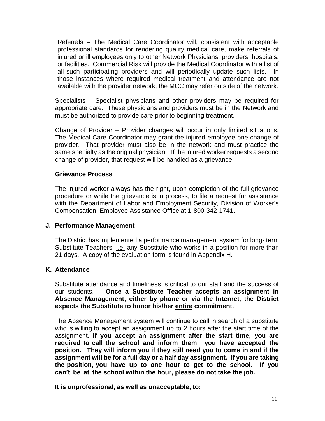Referrals – The Medical Care Coordinator will, consistent with acceptable professional standards for rendering quality medical care, make referrals of injured or ill employees only to other Network Physicians, providers, hospitals, or facilities. Commercial Risk will provide the Medical Coordinator with a list of all such participating providers and will periodically update such lists. In those instances where required medical treatment and attendance are not available with the provider network, the MCC may refer outside of the network.

Specialists – Specialist physicians and other providers may be required for appropriate care. These physicians and providers must be in the Network and must be authorized to provide care prior to beginning treatment.

Change of Provider – Provider changes will occur in only limited situations. The Medical Care Coordinator may grant the injured employee one change of provider. That provider must also be in the network and must practice the same specialty as the original physician. If the injured worker requests a second change of provider, that request will be handled as a grievance.

## **Grievance Process**

The injured worker always has the right, upon completion of the full grievance procedure or while the grievance is in process, to file a request for assistance with the Department of Labor and Employment Security, Division of Worker's Compensation, Employee Assistance Office at 1-800-342-1741.

#### **J. Performance Management**

The District has implemented a performance management system for long- term Substitute Teachers, i.e. any Substitute who works in a position for more than 21 days. A copy of the evaluation form is found in Appendix H.

#### **K. Attendance**

Substitute attendance and timeliness is critical to our staff and the success of our students. **Once a Substitute Teacher accepts an assignment in Absence Management, either by phone or via the Internet, the District expects the Substitute to honor his/her entire commitment.**

The Absence Management system will continue to call in search of a substitute who is willing to accept an assignment up to 2 hours after the start time of the assignment. **If you accept an assignment after the start time, you are required to call the school and inform them you have accepted the position. They will inform you if they still need you to come in and if the assignment will be for a full day or a half day assignment. If you are taking the position, you have up to one hour to get to the school. If you can't be at the school within the hour, please do not take the job.**

**It is unprofessional, as well as unacceptable, to:**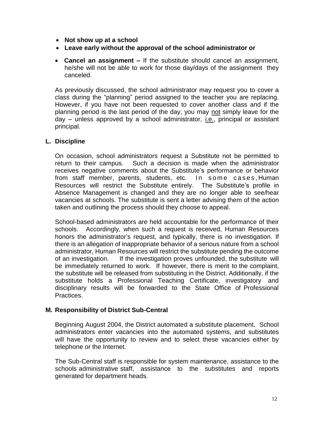- **Not show up at a school**
- **Leave early without the approval of the school administrator or**
- **Cancel an assignment –** If the substitute should cancel an assignment, he/she will not be able to work for those day/days of the assignment they canceled.

As previously discussed, the school administrator may request you to cover a class during the "planning" period assigned to the teacher you are replacing. However, if you have not been requested to cover another class and if the planning period is the last period of the day, you may not simply leave for the day – unless approved by a school administrator, i.e., principal or assistant principal.

## **L. Discipline**

On occasion, school administrators request a Substitute not be permitted to return to their campus. Such a decision is made when the administrator receives negative comments about the Substitute's performance or behavior from staff member, parents, students, etc. In some cases, Human Resources will restrict the Substitute entirely. The Substitute's profile in Absence Management is changed and they are no longer able to see/hear vacancies at schools. The substitute is sent a letter advising them of the action taken and outlining the process should they choose to appeal.

School-based administrators are held accountable for the performance of their schools. Accordingly, when such a request is received, Human Resources honors the administrator's request, and typically, there is no investigation. If there is an allegation of inappropriate behavior of a serious nature from a school administrator, Human Resources will restrict the substitute pending the outcome of an investigation. If the investigation proves unfounded, the substitute will be immediately returned to work. If however, there is merit to the complaint, the substitute will be released from substituting in the District. Additionally, if the substitute holds a Professional Teaching Certificate, investigatory and disciplinary results will be forwarded to the State Office of Professional Practices.

## **M. Responsibility of District Sub-Central**

Beginning August 2004, the District automated a substitute placement. School administrators enter vacancies into the automated systems, and substitutes will have the opportunity to review and to select these vacancies either by telephone or the Internet.

The Sub-Central staff is responsible for system maintenance, assistance to the schools administrative staff, assistance to the substitutes and reports generated for department heads.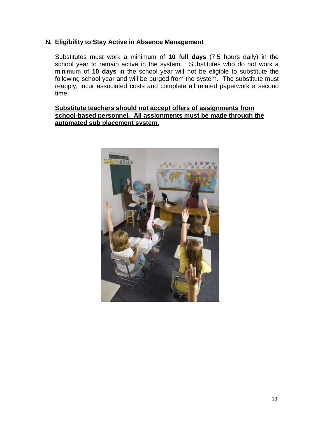## **N. Eligibility to Stay Active in Absence Management**

Substitutes must work a minimum of **10 full days** (7.5 hours daily) in the school year to remain active in the system. Substitutes who do not work a minimum of **10 days** in the school year will not be eligible to substitute the following school year and will be purged from the system. The substitute must reapply, incur associated costs and complete all related paperwork a second time.

#### **Substitute teachers should not accept offers of assignments from school-based personnel. All assignments must be made through the automated sub placement system.**

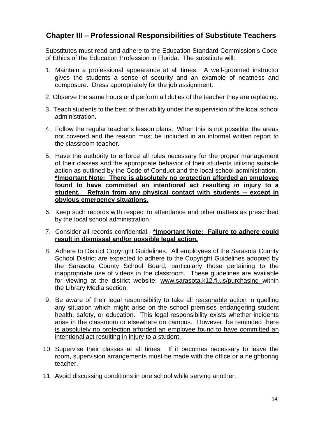## **Chapter III – Professional Responsibilities of Substitute Teachers**

Substitutes must read and adhere to the Education Standard Commission's Code of Ethics of the Education Profession in Florida. The substitute will:

- 1. Maintain a professional appearance at all times. A well-groomed instructor gives the students a sense of security and an example of neatness and composure. Dress appropriately for the job assignment.
- 2. Observe the same hours and perform all duties of the teacher they are replacing.
- 3. Teach students to the best of their ability under the supervision of the local school administration.
- 4. Follow the regular teacher's lesson plans. When this is not possible, the areas not covered and the reason must be included in an informal written report to the classroom teacher.
- 5. Have the authority to enforce all rules necessary for the proper management of their classes and the appropriate behavior of their students utilizing suitable action as outlined by the Code of Conduct and the local school administration. **\*Important Note: There is absolutely no protection afforded an employee found to have committed an intentional act resulting in injury to a student. Refrain from any physical contact with students -- except in obvious emergency situations.**
- 6. Keep such records with respect to attendance and other matters as prescribed by the local school administration.
- 7. Consider all records confidential. **\*Important Note: Failure to adhere could result in dismissal and/or possible legal action.**
- 8. Adhere to District Copyright Guidelines. All employees of the Sarasota County School District are expected to adhere to the Copyright Guidelines adopted by the Sarasota County School Board, particularly those pertaining to the inappropriate use of videos in the classroom. These guidelines are available for viewing at the district website: [www.sarasota.k12.fl.us/purchasing](http://www.sarasota.k12.fl.us/purchasing) within the Library Media section.
- 9. Be aware of their legal responsibility to take all reasonable action in quelling any situation which might arise on the school premises endangering student health, safety, or education. This legal responsibility exists whether incidents arise in the classroom or elsewhere on campus. However, be reminded there is absolutely no protection afforded an employee found to have committed an intentional act resulting in injury to a student.
- 10. Supervise their classes at all times. If it becomes necessary to leave the room, supervision arrangements must be made with the office or a neighboring teacher.
- 11. Avoid discussing conditions in one school while serving another.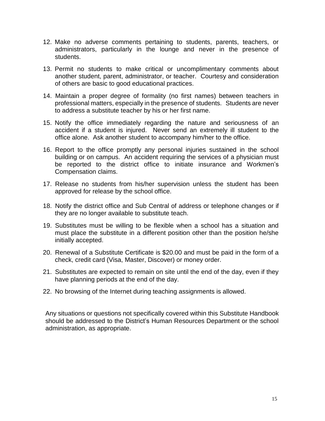- 12. Make no adverse comments pertaining to students, parents, teachers, or administrators, particularly in the lounge and never in the presence of students.
- 13. Permit no students to make critical or uncomplimentary comments about another student, parent, administrator, or teacher. Courtesy and consideration of others are basic to good educational practices.
- 14. Maintain a proper degree of formality (no first names) between teachers in professional matters, especially in the presence of students. Students are never to address a substitute teacher by his or her first name.
- 15. Notify the office immediately regarding the nature and seriousness of an accident if a student is injured. Never send an extremely ill student to the office alone. Ask another student to accompany him/her to the office.
- 16. Report to the office promptly any personal injuries sustained in the school building or on campus. An accident requiring the services of a physician must be reported to the district office to initiate insurance and Workmen's Compensation claims.
- 17. Release no students from his/her supervision unless the student has been approved for release by the school office.
- 18. Notify the district office and Sub Central of address or telephone changes or if they are no longer available to substitute teach.
- 19. Substitutes must be willing to be flexible when a school has a situation and must place the substitute in a different position other than the position he/she initially accepted.
- 20. Renewal of a Substitute Certificate is \$20.00 and must be paid in the form of a check, credit card (Visa, Master, Discover) or money order.
- 21. Substitutes are expected to remain on site until the end of the day, even if they have planning periods at the end of the day.
- 22. No browsing of the Internet during teaching assignments is allowed.

Any situations or questions not specifically covered within this Substitute Handbook should be addressed to the District's Human Resources Department or the school administration, as appropriate.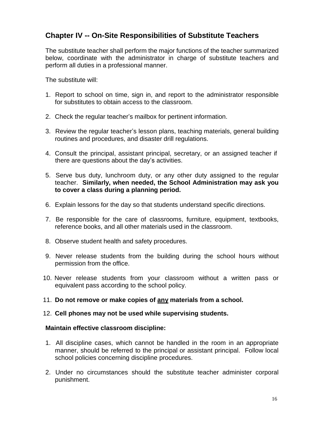## **Chapter IV -- On-Site Responsibilities of Substitute Teachers**

The substitute teacher shall perform the major functions of the teacher summarized below, coordinate with the administrator in charge of substitute teachers and perform all duties in a professional manner.

The substitute will:

- 1. Report to school on time, sign in, and report to the administrator responsible for substitutes to obtain access to the classroom.
- 2. Check the regular teacher's mailbox for pertinent information.
- 3. Review the regular teacher's lesson plans, teaching materials, general building routines and procedures, and disaster drill regulations.
- 4. Consult the principal, assistant principal, secretary, or an assigned teacher if there are questions about the day's activities.
- 5. Serve bus duty, lunchroom duty, or any other duty assigned to the regular teacher. **Similarly, when needed, the School Administration may ask you to cover a class during a planning period.**
- 6. Explain lessons for the day so that students understand specific directions.
- 7. Be responsible for the care of classrooms, furniture, equipment, textbooks, reference books, and all other materials used in the classroom.
- 8. Observe student health and safety procedures.
- 9. Never release students from the building during the school hours without permission from the office.
- 10. Never release students from your classroom without a written pass or equivalent pass according to the school policy.

#### 11. **Do not remove or make copies of any materials from a school.**

#### 12. **Cell phones may not be used while supervising students.**

#### **Maintain effective classroom discipline:**

- 1. All discipline cases, which cannot be handled in the room in an appropriate manner, should be referred to the principal or assistant principal. Follow local school policies concerning discipline procedures.
- 2. Under no circumstances should the substitute teacher administer corporal punishment.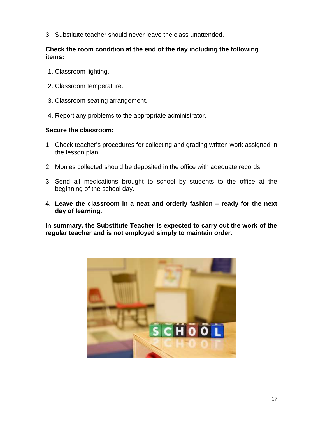3. Substitute teacher should never leave the class unattended.

## **Check the room condition at the end of the day including the following items:**

- 1. Classroom lighting.
- 2. Classroom temperature.
- 3. Classroom seating arrangement.
- 4. Report any problems to the appropriate administrator.

## **Secure the classroom:**

- 1. Check teacher's procedures for collecting and grading written work assigned in the lesson plan.
- 2. Monies collected should be deposited in the office with adequate records.
- 3. Send all medications brought to school by students to the office at the beginning of the school day.
- **4. Leave the classroom in a neat and orderly fashion – ready for the next day of learning.**

**In summary, the Substitute Teacher is expected to carry out the work of the regular teacher and is not employed simply to maintain order.**

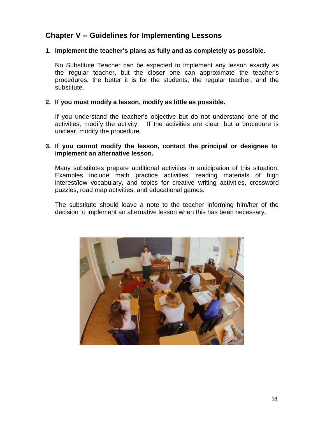## **Chapter V -- Guidelines for Implementing Lessons**

#### **1. Implement the teacher's plans as fully and as completely as possible.**

No Substitute Teacher can be expected to implement any lesson exactly as the regular teacher, but the closer one can approximate the teacher's procedures, the better it is for the students, the regular teacher, and the substitute.

#### **2. If you must modify a lesson, modify as little as possible.**

If you understand the teacher's objective but do not understand one of the activities, modify the activity. If the activities are clear, but a procedure is unclear, modify the procedure.

#### **3. If you cannot modify the lesson, contact the principal or designee to implement an alternative lesson.**

Many substitutes prepare additional activities in anticipation of this situation. Examples include math practice activities, reading materials of high interest/low vocabulary, and topics for creative writing activities, crossword puzzles, road map activities, and educational games.

The substitute should leave a note to the teacher informing him/her of the decision to implement an alternative lesson when this has been necessary.

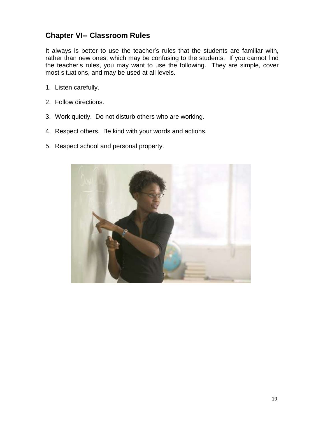## **Chapter VI-- Classroom Rules**

It always is better to use the teacher's rules that the students are familiar with, rather than new ones, which may be confusing to the students. If you cannot find the teacher's rules, you may want to use the following. They are simple, cover most situations, and may be used at all levels.

- 1. Listen carefully.
- 2. Follow directions.
- 3. Work quietly. Do not disturb others who are working.
- 4. Respect others. Be kind with your words and actions.
- 5. Respect school and personal property.

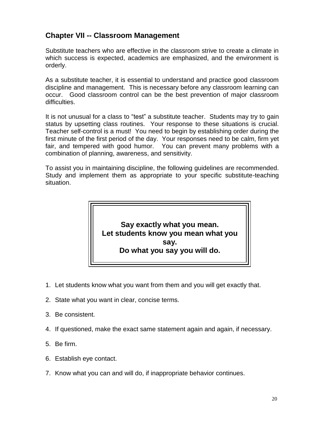## **Chapter VII -- Classroom Management**

Substitute teachers who are effective in the classroom strive to create a climate in which success is expected, academics are emphasized, and the environment is orderly.

As a substitute teacher, it is essential to understand and practice good classroom discipline and management. This is necessary before any classroom learning can occur. Good classroom control can be the best prevention of major classroom difficulties.

It is not unusual for a class to "test" a substitute teacher. Students may try to gain status by upsetting class routines. Your response to these situations is crucial. Teacher self-control is a must! You need to begin by establishing order during the first minute of the first period of the day. Your responses need to be calm, firm yet fair, and tempered with good humor. You can prevent many problems with a combination of planning, awareness, and sensitivity.

To assist you in maintaining discipline, the following guidelines are recommended. Study and implement them as appropriate to your specific substitute-teaching situation.



- 1. Let students know what you want from them and you will get exactly that.
- 2. State what you want in clear, concise terms.
- 3. Be consistent.
- 4. If questioned, make the exact same statement again and again, if necessary.
- 5. Be firm.
- 6. Establish eye contact.
- 7. Know what you can and will do, if inappropriate behavior continues.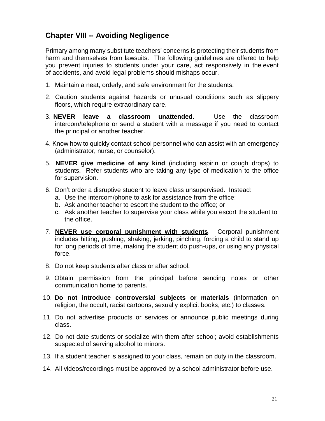## **Chapter VIII -- Avoiding Negligence**

Primary among many substitute teachers' concerns is protecting their students from harm and themselves from lawsuits. The following guidelines are offered to help you prevent injuries to students under your care, act responsively in the event of accidents, and avoid legal problems should mishaps occur.

- 1. Maintain a neat, orderly, and safe environment for the students.
- 2. Caution students against hazards or unusual conditions such as slippery floors, which require extraordinary care.
- 3. **NEVER leave a classroom unattended**. Use the classroom intercom/telephone or send a student with a message if you need to contact the principal or another teacher.
- 4. Know how to quickly contact school personnel who can assist with an emergency (administrator, nurse, or counselor).
- 5. **NEVER give medicine of any kind** (including aspirin or cough drops) to students. Refer students who are taking any type of medication to the office for supervision.
- 6. Don't order a disruptive student to leave class unsupervised. Instead:
	- a. Use the intercom/phone to ask for assistance from the office;
	- b. Ask another teacher to escort the student to the office; or
	- c. Ask another teacher to supervise your class while you escort the student to the office.
- 7. **NEVER use corporal punishment with students**. Corporal punishment includes hitting, pushing, shaking, jerking, pinching, forcing a child to stand up for long periods of time, making the student do push-ups, or using any physical force.
- 8. Do not keep students after class or after school.
- 9. Obtain permission from the principal before sending notes or other communication home to parents.
- 10. **Do not introduce controversial subjects or materials** (information on religion, the occult, racist cartoons, sexually explicit books, etc.) to classes.
- 11. Do not advertise products or services or announce public meetings during class.
- 12. Do not date students or socialize with them after school; avoid establishments suspected of serving alcohol to minors.
- 13. If a student teacher is assigned to your class, remain on duty in the classroom.
- 14. All videos/recordings must be approved by a school administrator before use.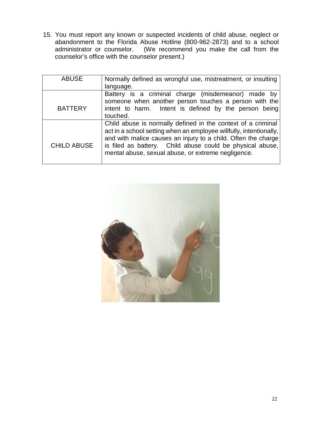15. You must report any known or suspected incidents of child abuse, neglect or abandonment to the Florida Abuse Hotline (800-962-2873) and to a school administrator or counselor. (We recommend you make the call from the counselor's office with the counselor present.)

| <b>ABUSE</b>       | Normally defined as wrongful use, mistreatment, or insulting                                                                                                                                                                                                                                                           |
|--------------------|------------------------------------------------------------------------------------------------------------------------------------------------------------------------------------------------------------------------------------------------------------------------------------------------------------------------|
|                    | language.                                                                                                                                                                                                                                                                                                              |
|                    | Battery is a criminal charge (misdemeanor) made by<br>someone when another person touches a person with the                                                                                                                                                                                                            |
| <b>BATTERY</b>     | intent to harm. Intent is defined by the person being<br>touched.                                                                                                                                                                                                                                                      |
| <b>CHILD ABUSE</b> | Child abuse is normally defined in the context of a criminal<br>act in a school setting when an employee willfully, intentionally,<br>and with malice causes an injury to a child. Often the charge<br>is filed as battery. Child abuse could be physical abuse,<br>mental abuse, sexual abuse, or extreme negligence. |
|                    |                                                                                                                                                                                                                                                                                                                        |

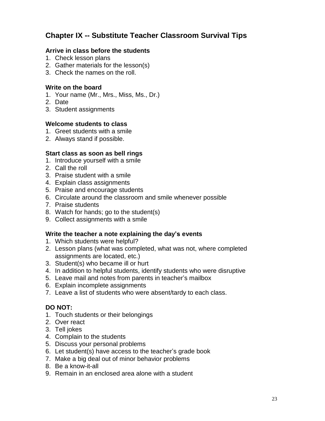## **Chapter IX -- Substitute Teacher Classroom Survival Tips**

#### **Arrive in class before the students**

- 1. Check lesson plans
- 2. Gather materials for the lesson(s)
- 3. Check the names on the roll.

#### **Write on the board**

- 1. Your name (Mr., Mrs., Miss, Ms., Dr.)
- 2. Date
- 3. Student assignments

#### **Welcome students to class**

- 1. Greet students with a smile
- 2. Always stand if possible.

## **Start class as soon as bell rings**

- 1. Introduce yourself with a smile
- 2. Call the roll
- 3. Praise student with a smile
- 4. Explain class assignments
- 5. Praise and encourage students
- 6. Circulate around the classroom and smile whenever possible
- 7. Praise students
- 8. Watch for hands; go to the student(s)
- 9. Collect assignments with a smile

## **Write the teacher a note explaining the day's events**

- 1. Which students were helpful?
- 2. Lesson plans (what was completed, what was not, where completed assignments are located, etc.)
- 3. Student(s) who became ill or hurt
- 4. In addition to helpful students, identify students who were disruptive
- 5. Leave mail and notes from parents in teacher's mailbox
- 6. Explain incomplete assignments
- 7. Leave a list of students who were absent/tardy to each class.

## **DO NOT:**

- 1. Touch students or their belongings
- 2. Over react
- 3. Tell jokes
- 4. Complain to the students
- 5. Discuss your personal problems
- 6. Let student(s) have access to the teacher's grade book
- 7. Make a big deal out of minor behavior problems
- 8. Be a know-it-all
- 9. Remain in an enclosed area alone with a student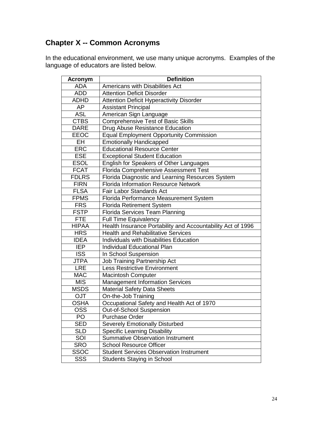## **Chapter X -- Common Acronyms**

In the educational environment, we use many unique acronyms. Examples of the language of educators are listed below.

| <b>Acronym</b> | <b>Definition</b>                                           |
|----------------|-------------------------------------------------------------|
| <b>ADA</b>     | Americans with Disabilities Act                             |
| <b>ADD</b>     | <b>Attention Deficit Disorder</b>                           |
| <b>ADHD</b>    | <b>Attention Deficit Hyperactivity Disorder</b>             |
| <b>AP</b>      | <b>Assistant Principal</b>                                  |
| <b>ASL</b>     | American Sign Language                                      |
| <b>CTBS</b>    | <b>Comprehensive Test of Basic Skills</b>                   |
| <b>DARE</b>    | Drug Abuse Resistance Education                             |
| EEOC           | <b>Equal Employment Opportunity Commission</b>              |
| <b>EH</b>      | <b>Emotionally Handicapped</b>                              |
| <b>ERC</b>     | <b>Educational Resource Center</b>                          |
| <b>ESE</b>     | <b>Exceptional Student Education</b>                        |
| <b>ESOL</b>    | English for Speakers of Other Languages                     |
| <b>FCAT</b>    | <b>Florida Comprehensive Assessment Test</b>                |
| <b>FDLRS</b>   | Florida Diagnostic and Learning Resources System            |
| <b>FIRN</b>    | <b>Florida Information Resource Network</b>                 |
| <b>FLSA</b>    | <b>Fair Labor Standards Act</b>                             |
| <b>FPMS</b>    | Florida Performance Measurement System                      |
| <b>FRS</b>     | <b>Florida Retirement System</b>                            |
| <b>FSTP</b>    | Florida Services Team Planning                              |
| <b>FTE</b>     | <b>Full Time Equivalency</b>                                |
| <b>HIPAA</b>   | Health Insurance Portability and Accountability Act of 1996 |
| <b>HRS</b>     | <b>Health and Rehabilitative Services</b>                   |
| <b>IDEA</b>    | Individuals with Disabilities Education                     |
| <b>IEP</b>     | <b>Individual Educational Plan</b>                          |
| <b>ISS</b>     | In School Suspension                                        |
| <b>JTPA</b>    | Job Training Partnership Act                                |
| <b>LRE</b>     | <b>Less Restrictive Environment</b>                         |
| <b>MAC</b>     | <b>Macintosh Computer</b>                                   |
| <b>MIS</b>     | <b>Management Information Services</b>                      |
| <b>MSDS</b>    | <b>Material Safety Data Sheets</b>                          |
| <b>OJT</b>     | On-the-Job Training                                         |
| <b>OSHA</b>    | Occupational Safety and Health Act of 1970                  |
| <b>OSS</b>     | Out-of-School Suspension                                    |
| PO             | <b>Purchase Order</b>                                       |
| <b>SED</b>     | <b>Severely Emotionally Disturbed</b>                       |
| <b>SLD</b>     | <b>Specific Learning Disability</b>                         |
| SOI            | <b>Summative Observation Instrument</b>                     |
| <b>SRO</b>     | <b>School Resource Officer</b>                              |
| <b>SSOC</b>    | <b>Student Services Observation Instrument</b>              |
| SSS            | <b>Students Staying in School</b>                           |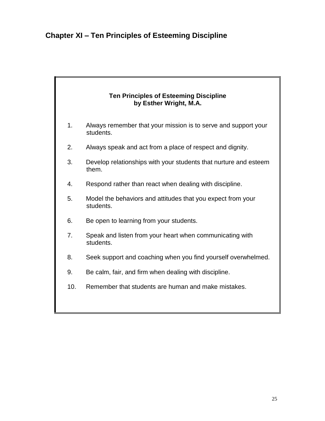## **Chapter XI – Ten Principles of Esteeming Discipline**

## **Ten Principles of Esteeming Discipline by Esther Wright, M.A.**

- 1. Always remember that your mission is to serve and support your students.
- 2. Always speak and act from a place of respect and dignity.
- 3. Develop relationships with your students that nurture and esteem them.
- 4. Respond rather than react when dealing with discipline.
- 5. Model the behaviors and attitudes that you expect from your students.
- 6. Be open to learning from your students.
- 7. Speak and listen from your heart when communicating with students.
- 8. Seek support and coaching when you find yourself overwhelmed.
- 9. Be calm, fair, and firm when dealing with discipline.
- 10. Remember that students are human and make mistakes.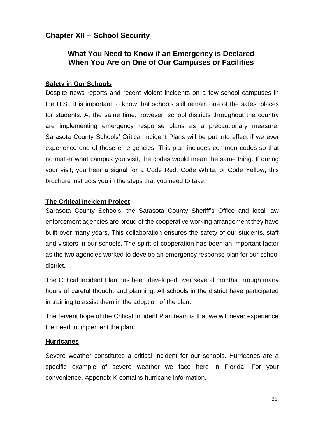## **Chapter XII -- School Security**

## **What You Need to Know if an Emergency is Declared When You Are on One of Our Campuses or Facilities**

## **Safety in Our Schools**

Despite news reports and recent violent incidents on a few school campuses in the U.S., it is important to know that schools still remain one of the safest places for students. At the same time, however, school districts throughout the country are implementing emergency response plans as a precautionary measure. Sarasota County Schools' Critical Incident Plans will be put into effect if we ever experience one of these emergencies. This plan includes common codes so that no matter what campus you visit, the codes would mean the same thing. If during your visit, you hear a signal for a Code Red, Code White, or Code Yellow, this brochure instructs you in the steps that you need to take.

## **The Critical Incident Project**

Sarasota County Schools, the Sarasota County Sheriff's Office and local law enforcement agencies are proud of the cooperative working arrangement they have built over many years. This collaboration ensures the safety of our students, staff and visitors in our schools. The spirit of cooperation has been an important factor as the two agencies worked to develop an emergency response plan for our school district.

The Critical Incident Plan has been developed over several months through many hours of careful thought and planning. All schools in the district have participated in training to assist them in the adoption of the plan.

The fervent hope of the Critical Incident Plan team is that we will never experience the need to implement the plan.

#### **Hurricanes**

Severe weather constitutes a critical incident for our schools. Hurricanes are a specific example of severe weather we face here in Florida. For your convenience, Appendix K contains hurricane information.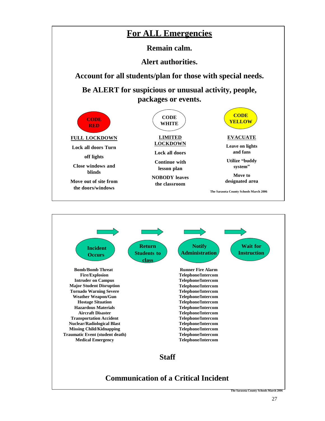## **For ALL Emergencies**

**Remain calm.** 

**Alert authorities.**

**Account for all students/plan for those with special needs.**

**Be ALERT for suspicious or unusual activity, people, packages or events.**



**Lock all doors Turn**

**off lights**

**Close windows and blinds**

**Move out of site from the doors/windows**



**LIMITED LOCKDOWN**

**Lock all doors**

**Continue with lesson plan**

**NOBODY leaves the classroom**



#### **EVACUATE**

**Leave on lights and fans**

**Utilize "buddy system"**

**Move to designated area**

**The Sarasota County Schools March 2006**

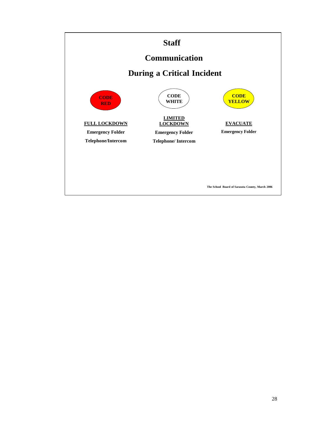